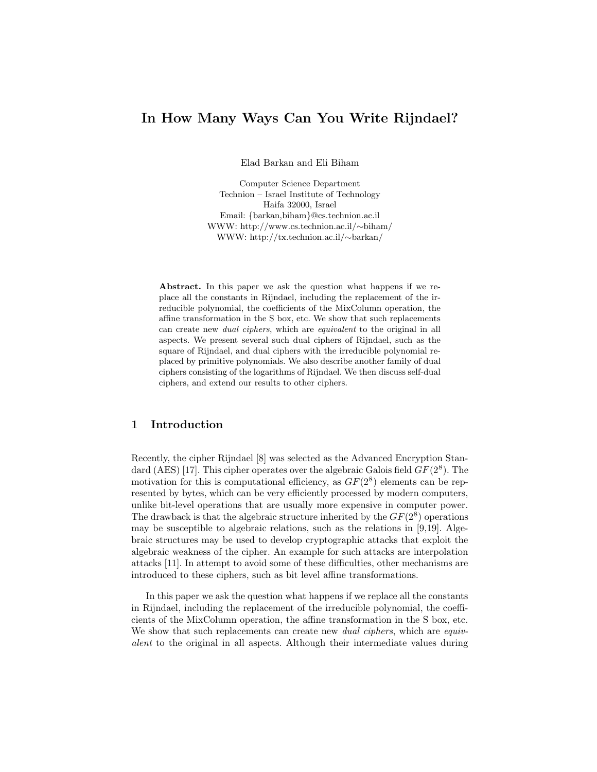# In How Many Ways Can You Write Rijndael?

Elad Barkan and Eli Biham

Computer Science Department Technion – Israel Institute of Technology Haifa 32000, Israel Email: {barkan,biham}@cs.technion.ac.il WWW: http://www.cs.technion.ac.il/∼biham/ WWW: http://tx.technion.ac.il/∼barkan/

Abstract. In this paper we ask the question what happens if we replace all the constants in Rijndael, including the replacement of the irreducible polynomial, the coefficients of the MixColumn operation, the affine transformation in the S box, etc. We show that such replacements can create new dual ciphers, which are equivalent to the original in all aspects. We present several such dual ciphers of Rijndael, such as the square of Rijndael, and dual ciphers with the irreducible polynomial replaced by primitive polynomials. We also describe another family of dual ciphers consisting of the logarithms of Rijndael. We then discuss self-dual ciphers, and extend our results to other ciphers.

### 1 Introduction

Recently, the cipher Rijndael [8] was selected as the Advanced Encryption Standard (AES) [17]. This cipher operates over the algebraic Galois field  $GF(2^8)$ . The motivation for this is computational efficiency, as  $GF(2^8)$  elements can be represented by bytes, which can be very efficiently processed by modern computers, unlike bit-level operations that are usually more expensive in computer power. The drawback is that the algebraic structure inherited by the  $GF(2<sup>8</sup>)$  operations may be susceptible to algebraic relations, such as the relations in [9,19]. Algebraic structures may be used to develop cryptographic attacks that exploit the algebraic weakness of the cipher. An example for such attacks are interpolation attacks [11]. In attempt to avoid some of these difficulties, other mechanisms are introduced to these ciphers, such as bit level affine transformations.

In this paper we ask the question what happens if we replace all the constants in Rijndael, including the replacement of the irreducible polynomial, the coefficients of the MixColumn operation, the affine transformation in the S box, etc. We show that such replacements can create new *dual ciphers*, which are *equiv*alent to the original in all aspects. Although their intermediate values during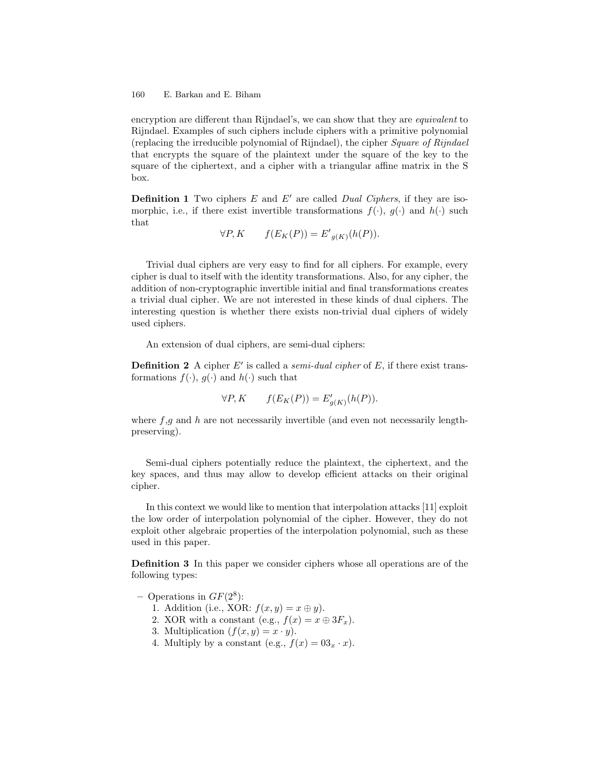encryption are different than Rijndael's, we can show that they are *equivalent* to Rijndael. Examples of such ciphers include ciphers with a primitive polynomial (replacing the irreducible polynomial of Rijndael), the cipher Square of Rijndael that encrypts the square of the plaintext under the square of the key to the square of the ciphertext, and a cipher with a triangular affine matrix in the S box.

**Definition 1** Two ciphers E and E' are called Dual Ciphers, if they are isomorphic, i.e., if there exist invertible transformations  $f(\cdot)$ ,  $g(\cdot)$  and  $h(\cdot)$  such that

$$
\forall P, K \qquad f(E_K(P)) = E'_{g(K)}(h(P)).
$$

Trivial dual ciphers are very easy to find for all ciphers. For example, every cipher is dual to itself with the identity transformations. Also, for any cipher, the addition of non-cryptographic invertible initial and final transformations creates a trivial dual cipher. We are not interested in these kinds of dual ciphers. The interesting question is whether there exists non-trivial dual ciphers of widely used ciphers.

An extension of dual ciphers, are semi-dual ciphers:

**Definition 2** A cipher  $E'$  is called a *semi-dual cipher* of  $E$ , if there exist transformations  $f(\cdot)$ ,  $g(\cdot)$  and  $h(\cdot)$  such that

$$
\forall P, K \qquad f(E_K(P)) = E'_{g(K)}(h(P)).
$$

where  $f,g$  and  $h$  are not necessarily invertible (and even not necessarily lengthpreserving).

Semi-dual ciphers potentially reduce the plaintext, the ciphertext, and the key spaces, and thus may allow to develop efficient attacks on their original cipher.

In this context we would like to mention that interpolation attacks [11] exploit the low order of interpolation polynomial of the cipher. However, they do not exploit other algebraic properties of the interpolation polynomial, such as these used in this paper.

Definition 3 In this paper we consider ciphers whose all operations are of the following types:

- Operations in  $GF(2^8)$ :
	- 1. Addition (i.e., XOR:  $f(x, y) = x \oplus y$ ).
	- 2. XOR with a constant (e.g.,  $f(x) = x \oplus 3F_x$ ).
	- 3. Multiplication  $(f(x, y) = x \cdot y)$ .
	- 4. Multiply by a constant (e.g.,  $f(x) = 03_x \cdot x$ ).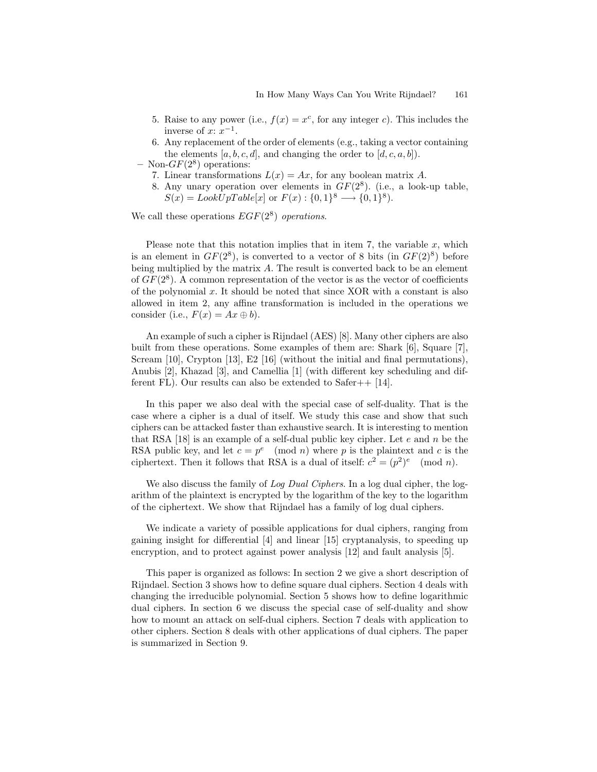- 5. Raise to any power (i.e.,  $f(x) = x^c$ , for any integer c). This includes the inverse of  $x: x^{-1}$ .
- 6. Any replacement of the order of elements (e.g., taking a vector containing the elements  $[a, b, c, d]$ , and changing the order to  $[d, c, a, b]$ .

 $-$  Non- $GF(2^8)$  operations:

- 7. Linear transformations  $L(x) = Ax$ , for any boolean matrix A.
- 8. Any unary operation over elements in  $GF(2^8)$ . (i.e., a look-up table,  $S(x) = LookUpTable[x]$  or  $F(x): \{0, 1\}^8 \longrightarrow \{0, 1\}^8$ .

We call these operations  $EGF(2^8)$  operations.

Please note that this notation implies that in item 7, the variable  $x$ , which is an element in  $GF(2^8)$ , is converted to a vector of 8 bits (in  $GF(2)^8$ ) before being multiplied by the matrix A. The result is converted back to be an element of  $GF(2^8)$ . A common representation of the vector is as the vector of coefficients of the polynomial  $x$ . It should be noted that since  $XOR$  with a constant is also allowed in item 2, any affine transformation is included in the operations we consider (i.e.,  $F(x) = Ax \oplus b$ ).

An example of such a cipher is Rijndael (AES) [8]. Many other ciphers are also built from these operations. Some examples of them are: Shark [6], Square [7], Scream [10], Crypton [13], E2 [16] (without the initial and final permutations), Anubis [2], Khazad [3], and Camellia [1] (with different key scheduling and different FL). Our results can also be extended to  $S$ afer $++$  [14].

In this paper we also deal with the special case of self-duality. That is the case where a cipher is a dual of itself. We study this case and show that such ciphers can be attacked faster than exhaustive search. It is interesting to mention that RSA  $[18]$  is an example of a self-dual public key cipher. Let e and n be the RSA public key, and let  $c = p^e \pmod{n}$  where p is the plaintext and c is the ciphertext. Then it follows that RSA is a dual of itself:  $c^2 = (p^2)^e \pmod{n}$ .

We also discuss the family of *Log Dual Ciphers*. In a log dual cipher, the logarithm of the plaintext is encrypted by the logarithm of the key to the logarithm of the ciphertext. We show that Rijndael has a family of log dual ciphers.

We indicate a variety of possible applications for dual ciphers, ranging from gaining insight for differential [4] and linear [15] cryptanalysis, to speeding up encryption, and to protect against power analysis [12] and fault analysis [5].

This paper is organized as follows: In section 2 we give a short description of Rijndael. Section 3 shows how to define square dual ciphers. Section 4 deals with changing the irreducible polynomial. Section 5 shows how to define logarithmic dual ciphers. In section 6 we discuss the special case of self-duality and show how to mount an attack on self-dual ciphers. Section 7 deals with application to other ciphers. Section 8 deals with other applications of dual ciphers. The paper is summarized in Section 9.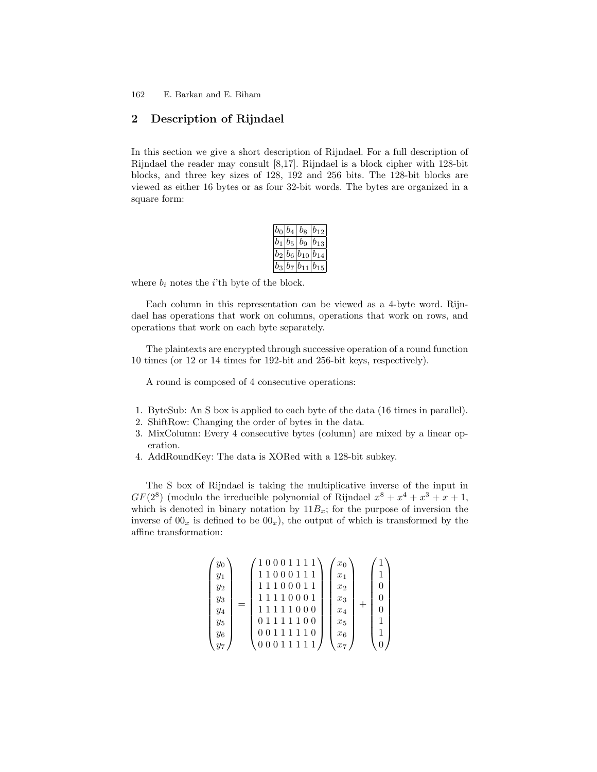### 2 Description of Rijndael

In this section we give a short description of Rijndael. For a full description of Rijndael the reader may consult [8,17]. Rijndael is a block cipher with 128-bit blocks, and three key sizes of 128, 192 and 256 bits. The 128-bit blocks are viewed as either 16 bytes or as four 32-bit words. The bytes are organized in a square form:

|  | $\overline{b_0}$ $b_4$ $b_8$ $b_{12}$ |  |
|--|---------------------------------------|--|
|  | $b_1$ $b_5$ $b_9$ $b_{13}$            |  |
|  | $b_2$ $b_6$ $b_{10}$ $b_{14}$         |  |
|  | $b_3$ $b_7$ $b_{11}$ $b_{15}$         |  |

where  $b_i$  notes the *i*'th byte of the block.

Each column in this representation can be viewed as a 4-byte word. Rijndael has operations that work on columns, operations that work on rows, and operations that work on each byte separately.

The plaintexts are encrypted through successive operation of a round function 10 times (or 12 or 14 times for 192-bit and 256-bit keys, respectively).

A round is composed of 4 consecutive operations:

- 1. ByteSub: An S box is applied to each byte of the data (16 times in parallel).
- 2. ShiftRow: Changing the order of bytes in the data.
- 3. MixColumn: Every 4 consecutive bytes (column) are mixed by a linear operation.
- 4. AddRoundKey: The data is XORed with a 128-bit subkey.

The S box of Rijndael is taking the multiplicative inverse of the input in  $GF(2^8)$  (modulo the irreducible polynomial of Rijndael  $x^8 + x^4 + x^3 + x + 1$ , which is denoted in binary notation by  $11B_x$ ; for the purpose of inversion the inverse of  $00_x$  is defined to be  $00_x$ ), the output of which is transformed by the affine transformation:

| $y_0$ |   | 10001111' | $x_0$          |               |
|-------|---|-----------|----------------|---------------|
| $y_1$ |   | 11000111  | $x_1$          |               |
| $y_2$ |   | 11100011  | x <sub>2</sub> | 0             |
| $y_3$ |   | 11110001  | $x_3$          | 0             |
| $y_4$ | = | 11111000  | $x_4$          | $\mathcal{O}$ |
| $y_5$ |   | 01111100  | $x_5$          |               |
| $y_6$ |   | 00111110  | $x_6$          |               |
| У7    |   | 011111    | $x_7$          |               |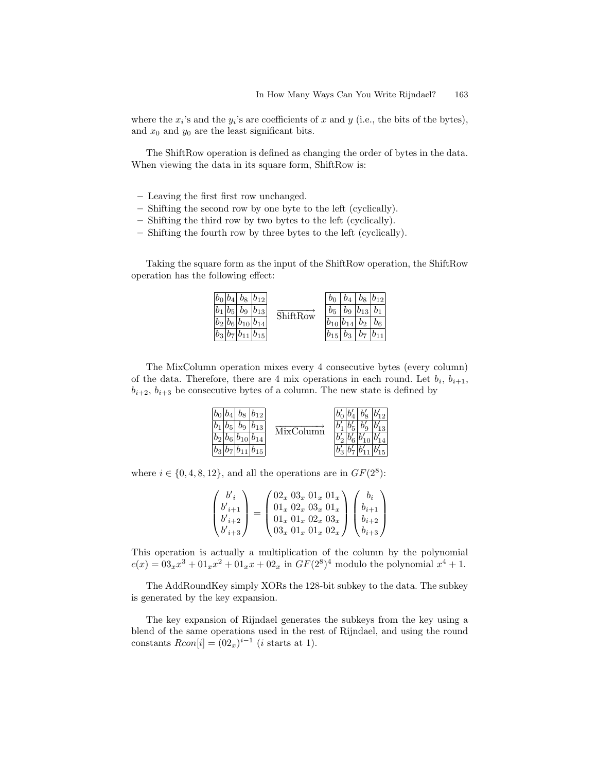where the  $x_i$ 's and the  $y_i$ 's are coefficients of x and y (i.e., the bits of the bytes), and  $x_0$  and  $y_0$  are the least significant bits.

The ShiftRow operation is defined as changing the order of bytes in the data. When viewing the data in its square form, ShiftRow is:

- Leaving the first first row unchanged.
- Shifting the second row by one byte to the left (cyclically).
- Shifting the third row by two bytes to the left (cyclically).
- Shifting the fourth row by three bytes to the left (cyclically).

Taking the square form as the input of the ShiftRow operation, the ShiftRow operation has the following effect:



The MixColumn operation mixes every 4 consecutive bytes (every column) of the data. Therefore, there are 4 mix operations in each round. Let  $b_i$ ,  $b_{i+1}$ ,  $b_{i+2}, b_{i+3}$  be consecutive bytes of a column. The new state is defined by



where  $i \in \{0, 4, 8, 12\}$ , and all the operations are in  $GF(2^8)$ :

$$
\begin{pmatrix} b'_{\,i} \\ b'_{\,i+1} \\ b'_{\,i+2} \\ b'_{\,i+3} \end{pmatrix} = \begin{pmatrix} 02_x \ 03_x \ 01_x \ 01_x \\ 01_x \ 02_x \ 03_x \ 01_x \\ 01_x \ 01_x \ 02_x \ 03_x \\ 03_x \ 01_x \ 012_x \ 02_x \end{pmatrix} \begin{pmatrix} b_i \\ b_{i+1} \\ b_{i+2} \\ b_{i+3} \end{pmatrix}
$$

This operation is actually a multiplication of the column by the polynomial  $c(x) = 03_x x^3 + 01_x x^2 + 01_x x + 02_x$  in  $GF(2^8)^4$  modulo the polynomial  $x^4 + 1$ .

The AddRoundKey simply XORs the 128-bit subkey to the data. The subkey is generated by the key expansion.

The key expansion of Rijndael generates the subkeys from the key using a blend of the same operations used in the rest of Rijndael, and using the round constants  $Rcon[i] = (02<sub>x</sub>)<sup>i-1</sup>$  (*i* starts at 1).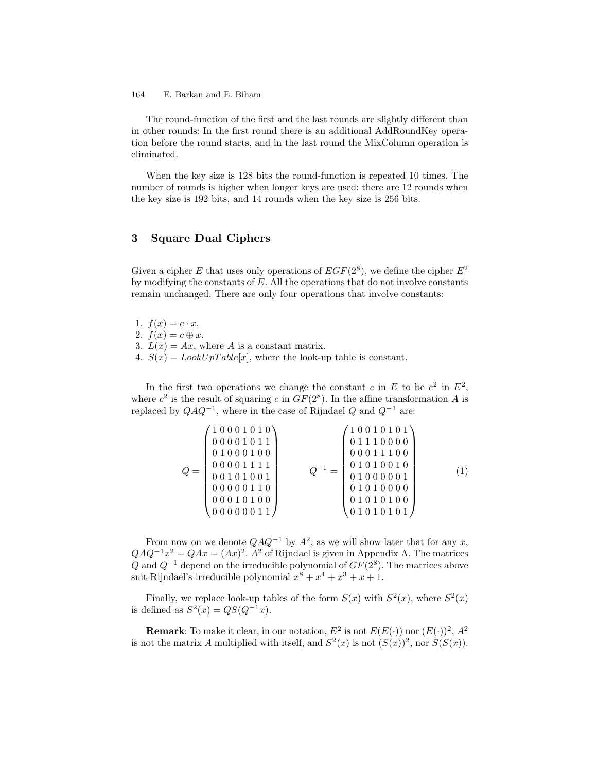The round-function of the first and the last rounds are slightly different than in other rounds: In the first round there is an additional AddRoundKey operation before the round starts, and in the last round the MixColumn operation is eliminated.

When the key size is 128 bits the round-function is repeated 10 times. The number of rounds is higher when longer keys are used: there are 12 rounds when the key size is 192 bits, and 14 rounds when the key size is 256 bits.

### 3 Square Dual Ciphers

Given a cipher E that uses only operations of  $EGF(2^8)$ , we define the cipher  $E^2$ by modifying the constants of  $E$ . All the operations that do not involve constants remain unchanged. There are only four operations that involve constants:

- 1.  $f(x) = c \cdot x$ .
- 2.  $f(x) = c \oplus x$ .
- 3.  $L(x) = Ax$ , where A is a constant matrix.
- 4.  $S(x) = LookUpTable[x]$ , where the look-up table is constant.

In the first two operations we change the constant c in E to be  $c^2$  in  $E^2$ , where  $c^2$  is the result of squaring c in  $GF(2^8)$ . In the affine transformation A is replaced by  $QAQ^{-1}$ , where in the case of Rijndael Q and  $Q^{-1}$  are:

| $Q =$ | 10001010<br>00001011<br>01000100<br>00001111<br>00101001<br>00000110<br>00010100<br>00000011 |  | 10010101<br>01110000<br>00011100<br>01010010<br>01000001<br>01010000<br>01010100<br>01010101 |  |
|-------|----------------------------------------------------------------------------------------------|--|----------------------------------------------------------------------------------------------|--|
|-------|----------------------------------------------------------------------------------------------|--|----------------------------------------------------------------------------------------------|--|

From now on we denote  $QAQ^{-1}$  by  $A^2$ , as we will show later that for any x,  $QAQ^{-1}x^2 = QAx = (Ax)^2$ .  $A^2$  of Rijndael is given in Appendix A. The matrices Q and  $Q^{-1}$  depend on the irreducible polynomial of  $GF(2<sup>8</sup>)$ . The matrices above suit Rijndael's irreducible polynomial  $x^8 + x^4 + x^3 + x + 1$ .

Finally, we replace look-up tables of the form  $S(x)$  with  $S^2(x)$ , where  $S^2(x)$ is defined as  $S^2(x) = QS(Q^{-1}x)$ .

**Remark:** To make it clear, in our notation,  $E^2$  is not  $E(E(\cdot))$  nor  $(E(\cdot))^2$ ,  $A^2$ is not the matrix A multiplied with itself, and  $S^2(x)$  is not  $(S(x))^2$ , nor  $S(S(x))$ .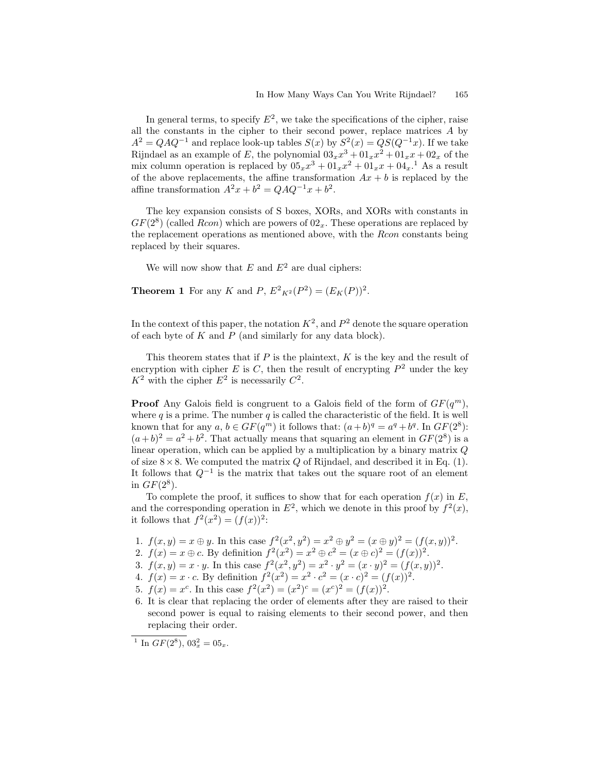In general terms, to specify  $E^2$ , we take the specifications of the cipher, raise all the constants in the cipher to their second power, replace matrices A by  $A^2 = QAQ^{-1}$  and replace look-up tables  $S(x)$  by  $S^2(x) = QS(Q^{-1}x)$ . If we take Rijndael as an example of E, the polynomial  $03_x x^3 + 01_x x^2 + 01_x x + 02_x$  of the mix column operation is replaced by  $05_x x^3 + 01_x x^2 + 01_x x + 04_x$ .<sup>1</sup> As a result of the above replacements, the affine transformation  $Ax + b$  is replaced by the affine transformation  $A^2x + b^2 = QAQ^{-1}x + b^2$ .

The key expansion consists of S boxes, XORs, and XORs with constants in  $GF(2<sup>8</sup>)$  (called *Rcon*) which are powers of  $02<sub>x</sub>$ . These operations are replaced by the replacement operations as mentioned above, with the Rcon constants being replaced by their squares.

We will now show that  $E$  and  $E^2$  are dual ciphers:

**Theorem 1** For any K and  $P, E^2_{K^2}(P^2) = (E_K(P))^2$ .

In the context of this paper, the notation  $K^2$ , and  $P^2$  denote the square operation of each byte of  $K$  and  $P$  (and similarly for any data block).

This theorem states that if  $P$  is the plaintext,  $K$  is the key and the result of encryption with cipher E is C, then the result of encrypting  $P^2$  under the key  $K^2$  with the cipher  $E^2$  is necessarily  $C^2$ .

**Proof** Any Galois field is congruent to a Galois field of the form of  $GF(q^m)$ , where q is a prime. The number q is called the characteristic of the field. It is well known that for any  $a, b \in GF(q^m)$  it follows that:  $(a+b)^q = a^q + b^q$ . In  $GF(2^8)$ :  $(a+b)^2 = a^2 + b^2$ . That actually means that squaring an element in  $GF(2^8)$  is a linear operation, which can be applied by a multiplication by a binary matrix Q of size  $8 \times 8$ . We computed the matrix Q of Rijndael, and described it in Eq. (1). It follows that  $Q^{-1}$  is the matrix that takes out the square root of an element in  $GF(2^8)$ .

To complete the proof, it suffices to show that for each operation  $f(x)$  in E, and the corresponding operation in  $E^2$ , which we denote in this proof by  $f^2(x)$ , it follows that  $f^2(x^2) = (f(x))^2$ :

- 1.  $f(x, y) = x \oplus y$ . In this case  $f^2(x^2, y^2) = x^2 \oplus y^2 = (x \oplus y)^2 = (f(x, y))^2$ .
- 2.  $f(x) = x \oplus c$ . By definition  $f^2(x^2) = x^2 \oplus c^2 = (x \oplus c)^2 = (f(x))^2$ .
- 3.  $f(x,y) = x \cdot y$ . In this case  $f^2(x^2, y^2) = x^2 \cdot y^2 = (x \cdot y)^2 = (f(x,y))^2$ .
- 4.  $f(x) = x \cdot c$ . By definition  $f^2(x^2) = x^2 \cdot c^2 = (x \cdot c)^2 = (f(x))^2$ .
- 5.  $f(x) = x^c$ . In this case  $f^2(x^2) = (x^2)^c = (x^c)^2 = (f(x))^2$ .
- 6. It is clear that replacing the order of elements after they are raised to their second power is equal to raising elements to their second power, and then replacing their order.

<sup>&</sup>lt;sup>1</sup> In  $GF(2^8)$ ,  $03_x^2 = 05_x$ .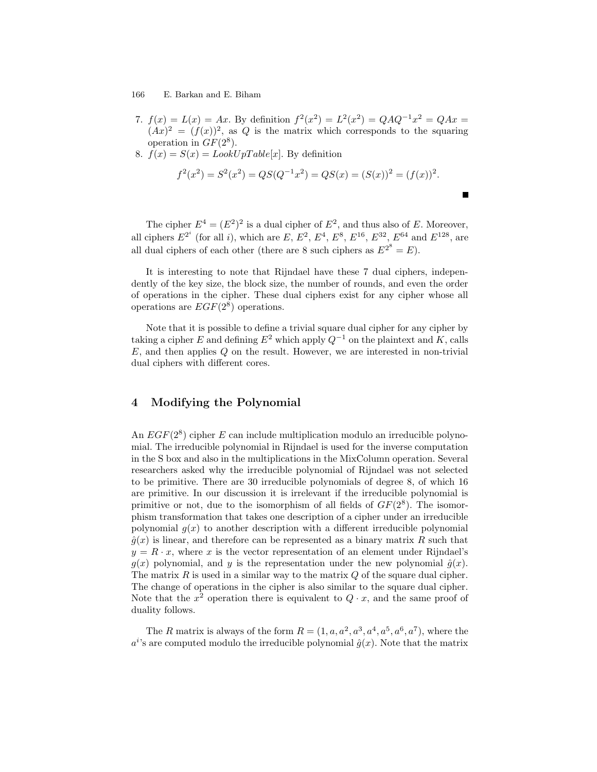- 7.  $f(x) = L(x) = Ax$ . By definition  $f^{2}(x^{2}) = L^{2}(x^{2}) = QAQ^{-1}x^{2} = QAx$  $(Ax)^2 = (f(x))^2$ , as Q is the matrix which corresponds to the squaring operation in  $GF(2^8)$ .
- 8.  $f(x) = S(x) = LookUpTable[x]$ . By definition

$$
f^{2}(x^{2}) = S^{2}(x^{2}) = QS(Q^{-1}x^{2}) = QS(x) = (S(x))^{2} = (f(x))^{2}.
$$

 $\blacksquare$ 

The cipher  $E^4 = (E^2)^2$  is a dual cipher of  $E^2$ , and thus also of E. Moreover, all ciphers  $E^{2^i}$  (for all i), which are E,  $E^2$ ,  $E^4$ ,  $E^8$ ,  $E^{16}$ ,  $E^{32}$ ,  $E^{64}$  and  $E^{128}$ , are all dual ciphers of each other (there are 8 such ciphers as  $E^{2^8} = E$ ).

It is interesting to note that Rijndael have these 7 dual ciphers, independently of the key size, the block size, the number of rounds, and even the order of operations in the cipher. These dual ciphers exist for any cipher whose all operations are  $EGF(2^8)$  operations.

Note that it is possible to define a trivial square dual cipher for any cipher by taking a cipher E and defining  $E^2$  which apply  $Q^{-1}$  on the plaintext and K, calls  $E$ , and then applies  $Q$  on the result. However, we are interested in non-trivial dual ciphers with different cores.

### 4 Modifying the Polynomial

An  $EGF(2^8)$  cipher E can include multiplication modulo an irreducible polynomial. The irreducible polynomial in Rijndael is used for the inverse computation in the S box and also in the multiplications in the MixColumn operation. Several researchers asked why the irreducible polynomial of Rijndael was not selected to be primitive. There are 30 irreducible polynomials of degree 8, of which 16 are primitive. In our discussion it is irrelevant if the irreducible polynomial is primitive or not, due to the isomorphism of all fields of  $GF(2^8)$ . The isomorphism transformation that takes one description of a cipher under an irreducible polynomial  $g(x)$  to another description with a different irreducible polynomial  $\hat{q}(x)$  is linear, and therefore can be represented as a binary matrix R such that  $y = R \cdot x$ , where x is the vector representation of an element under Rijndael's  $g(x)$  polynomial, and y is the representation under the new polynomial  $\hat{g}(x)$ . The matrix  $R$  is used in a similar way to the matrix  $Q$  of the square dual cipher. The change of operations in the cipher is also similar to the square dual cipher. Note that the  $x^2$  operation there is equivalent to  $Q \cdot x$ , and the same proof of duality follows.

The R matrix is always of the form  $R = (1, a, a^2, a^3, a^4, a^5, a^6, a^7)$ , where the  $a^{i}$ 's are computed modulo the irreducible polynomial  $\hat{g}(x)$ . Note that the matrix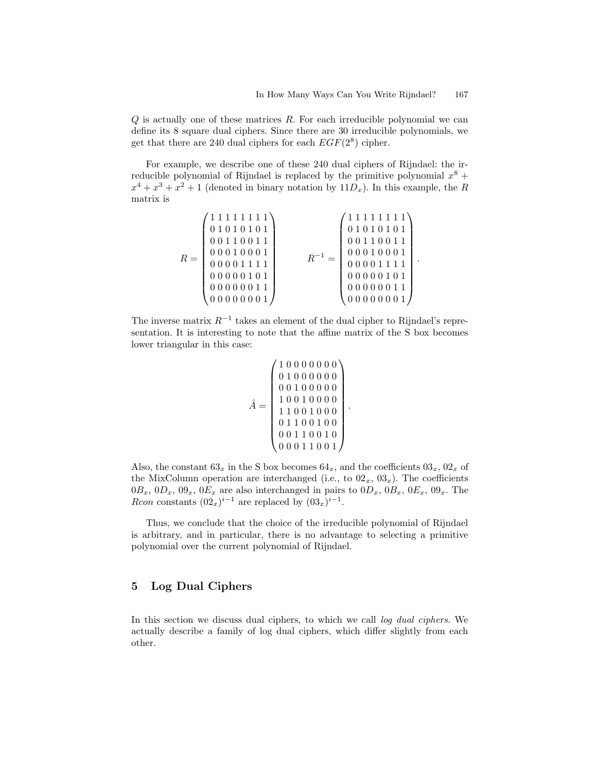$Q$  is actually one of these matrices  $R$ . For each irreducible polynomial we can define its 8 square dual ciphers. Since there are 30 irreducible polynomials, we get that there are 240 dual ciphers for each  $EGF(2^8)$  cipher.

For example, we describe one of these 240 dual ciphers of Rijndael: the irreducible polynomial of Rijndael is replaced by the primitive polynomial  $x^8 +$  $x^4 + x^3 + x^2 + 1$  (denoted in binary notation by  $11D_x$ ). In this example, the R matrix is

| $R =$ | 11111111<br>01010101<br>00110011<br>00010001<br>00001111<br>00000101<br>00000011<br>000001 | $R^{-1}$ | 11111111<br>01010101<br>00110011<br>00010001<br>00001111<br>00000101<br>00000011<br>000000 |  |
|-------|--------------------------------------------------------------------------------------------|----------|--------------------------------------------------------------------------------------------|--|
|-------|--------------------------------------------------------------------------------------------|----------|--------------------------------------------------------------------------------------------|--|

The inverse matrix  $R^{-1}$  takes an element of the dual cipher to Rijndael's representation. It is interesting to note that the affine matrix of the S box becomes lower triangular in this case:

$$
\hat{A} = \begin{pmatrix}\n1 & 0 & 0 & 0 & 0 & 0 & 0 & 0 \\
0 & 1 & 0 & 0 & 0 & 0 & 0 & 0 \\
0 & 0 & 1 & 0 & 0 & 0 & 0 & 0 \\
1 & 0 & 0 & 1 & 0 & 0 & 0 & 0 \\
1 & 1 & 0 & 0 & 1 & 0 & 0 & 0 \\
0 & 1 & 1 & 0 & 0 & 1 & 0 & 0 \\
0 & 0 & 1 & 1 & 0 & 0 & 1 & 0 \\
0 & 0 & 0 & 1 & 1 & 0 & 0 & 1\n\end{pmatrix}.
$$

Also, the constant  $63_x$  in the S box becomes  $64_x$ , and the coefficients  $03_x$ ,  $02_x$  of the MixColumn operation are interchanged (i.e., to  $02_x$ ,  $03_x$ ). The coefficients  $0B_x$ ,  $0D_x$ ,  $09_x$ ,  $0E_x$  are also interchanged in pairs to  $0D_x$ ,  $0B_x$ ,  $0E_x$ ,  $09_x$ . The Rcon constants  $(02<sub>x</sub>)<sup>i-1</sup>$  are replaced by  $(03<sub>x</sub>)<sup>i-1</sup>$ .

Thus, we conclude that the choice of the irreducible polynomial of Rijndael is arbitrary, and in particular, there is no advantage to selecting a primitive polynomial over the current polynomial of Rijndael.

### 5 Log Dual Ciphers

In this section we discuss dual ciphers, to which we call *log dual ciphers*. We actually describe a family of log dual ciphers, which differ slightly from each other.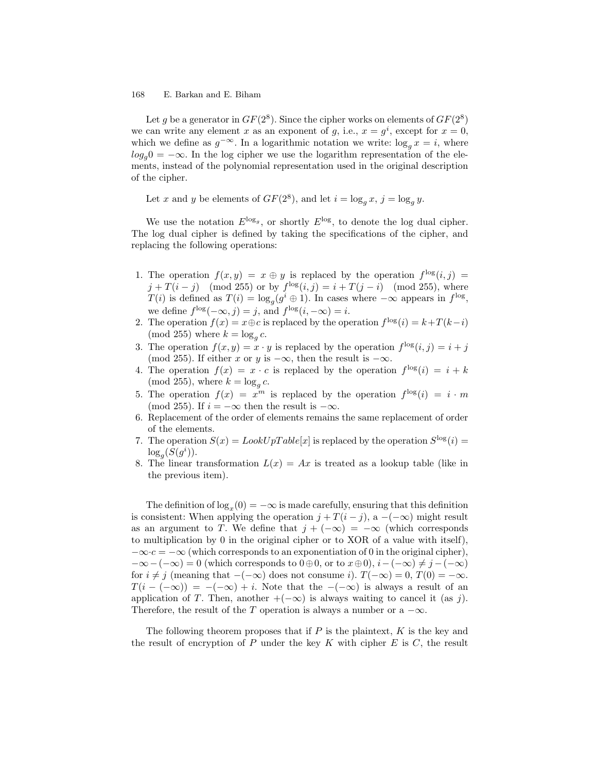Let g be a generator in  $GF(2^8)$ . Since the cipher works on elements of  $GF(2^8)$ we can write any element x as an exponent of g, i.e.,  $x = g^i$ , except for  $x = 0$ , which we define as  $g^{-\infty}$ . In a logarithmic notation we write:  $\log_g x = i$ , where  $log_q 0 = -\infty$ . In the log cipher we use the logarithm representation of the elements, instead of the polynomial representation used in the original description of the cipher.

Let x and y be elements of  $GF(2^8)$ , and let  $i = \log_g x, j = \log_g y$ .

We use the notation  $E^{\log_g}$ , or shortly  $E^{\log}$ , to denote the log dual cipher. The log dual cipher is defined by taking the specifications of the cipher, and replacing the following operations:

- 1. The operation  $f(x, y) = x \oplus y$  is replaced by the operation  $f^{\log}(i, j) =$  $j + T(i - j) \pmod{255}$  or by  $f^{\log}(i, j) = i + T(j - i) \pmod{255}$ , where  $T(i)$  is defined as  $T(i) = \log_g(g^i \oplus 1)$ . In cases where  $-\infty$  appears in  $f^{\log}$ , we define  $f^{\log}(-\infty, j) = j$ , and  $f^{\log}(i, -\infty) = i$ .
- 2. The operation  $f(x) = x \oplus c$  is replaced by the operation  $f^{\log}(i) = k + T(k-i)$ (mod 255) where  $k = \log_g c$ .
- 3. The operation  $f(x, y) = x \cdot y$  is replaced by the operation  $f^{\log}(i, j) = i + j$ (mod 255). If either x or y is  $-\infty$ , then the result is  $-\infty$ .
- 4. The operation  $f(x) = x \cdot c$  is replaced by the operation  $f^{\log}(i) = i + k$ (mod 255), where  $k = \log_g c$ .
- 5. The operation  $f(x) = x^m$  is replaced by the operation  $f^{\log}(i) = i \cdot m$ (mod 255). If  $i = -\infty$  then the result is  $-\infty$ .
- 6. Replacement of the order of elements remains the same replacement of order of the elements.
- 7. The operation  $S(x) = LookUpTable[x]$  is replaced by the operation  $S^{log}(i)$  $\log_g(S(g^i)).$
- 8. The linear transformation  $L(x) = Ax$  is treated as a lookup table (like in the previous item).

The definition of  $log_x(0) = -\infty$  is made carefully, ensuring that this definition is consistent: When applying the operation  $j + T(i - j)$ , a  $-(-\infty)$  might result as an argument to T. We define that  $j + (-\infty) = -\infty$  (which corresponds to multiplication by 0 in the original cipher or to XOR of a value with itself),  $-\infty \cdot c = -\infty$  (which corresponds to an exponentiation of 0 in the original cipher),  $-\infty - (-\infty) = 0$  (which corresponds to  $0 \oplus 0$ , or to  $x \oplus 0$ ),  $i - (-\infty) \neq j - (-\infty)$ for  $i \neq j$  (meaning that  $-(-\infty)$  does not consume i).  $T(-\infty) = 0$ ,  $T(0) = -\infty$ .  $T(i - (-\infty)) = -(-\infty) + i$ . Note that the  $-(-\infty)$  is always a result of an application of T. Then, another  $+(-\infty)$  is always waiting to cancel it (as j). Therefore, the result of the T operation is always a number or a  $-\infty$ .

The following theorem proposes that if  $P$  is the plaintext,  $K$  is the key and the result of encryption of  $P$  under the key  $K$  with cipher  $E$  is  $C$ , the result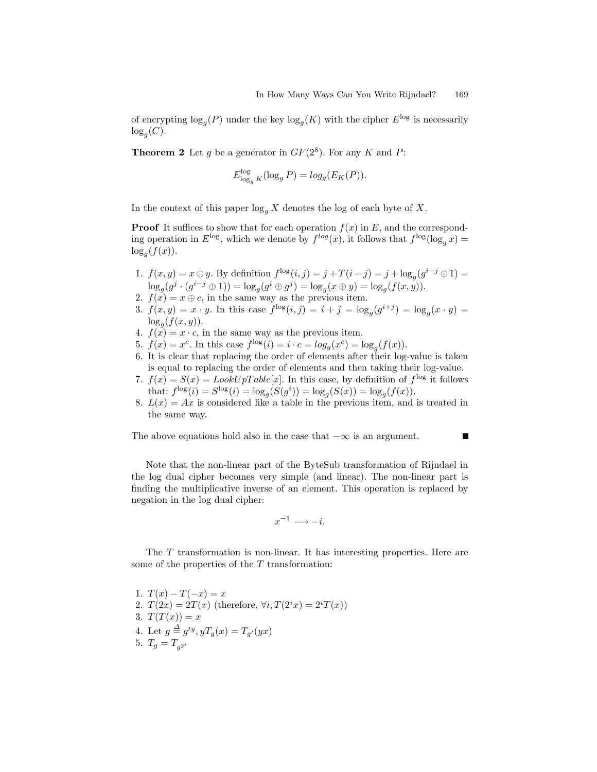of encrypting  $\log_g(P)$  under the key  $\log_g(K)$  with the cipher  $E^{\log}$  is necessarily  $log_g(C)$ .

**Theorem 2** Let g be a generator in  $GF(2^8)$ . For any K and P:

$$
E_{\log_g K}^{\log}(log_g P) = log_g(E_K(P)).
$$

In the context of this paper  $\log_q X$  denotes the log of each byte of X.

**Proof** It suffices to show that for each operation  $f(x)$  in E, and the corresponding operation in  $E^{\log}$ , which we denote by  $f^{\log}(x)$ , it follows that  $f^{\log}(\log_g x) =$  $\log_g(f(x)).$ 

- 1.  $f(x, y) = x \oplus y$ . By definition  $f^{\log}(i, j) = j + T(i j) = j + \log_g(g^{i j} \oplus 1) = j$  $\log_g(g^{j} \cdot (g^{i-j} \oplus 1)) = \log_g(g^{i} \oplus g^{j}) = \log_g(x \oplus y) = \log_g(f(x, y)).$
- 2.  $f(x) = x \oplus c$ , in the same way as the previous item.
- 3.  $f(x,y) = x \cdot y$ . In this case  $f^{\log}(i,j) = i + j = \log_g(g^{i+j}) = \log_g(x \cdot y) =$  $\log_g(f(x,y)).$
- 4.  $f(x) = x \cdot c$ , in the same way as the previous item.
- 5.  $f(x) = x^c$ . In this case  $f^{\log}(i) = i \cdot c = log_g(x^c) = log_g(f(x))$ .
- 6. It is clear that replacing the order of elements after their log-value is taken is equal to replacing the order of elements and then taking their log-value.
- 7.  $f(x) = S(x) = LookUpTable[x]$ . In this case, by definition of  $f^{\log}$  it follows that:  $f^{\log}(i) = S^{\log}(i) = \log_g(S(g^i)) = \log_g(S(x)) = \log_g(f(x)).$
- 8.  $L(x) = Ax$  is considered like a table in the previous item, and is treated in the same way.

The above equations hold also in the case that  $-\infty$  is an argument.

П

Note that the non-linear part of the ByteSub transformation of Rijndael in the log dual cipher becomes very simple (and linear). The non-linear part is finding the multiplicative inverse of an element. This operation is replaced by negation in the log dual cipher:

$$
x^{-1} \longrightarrow -i.
$$

The T transformation is non-linear. It has interesting properties. Here are some of the properties of the T transformation:

1.  $T(x) - T(-x) = x$ 2.  $T(2x) = 2T(x)$  (therefore,  $\forall i, T(2^i x) = 2^i T(x)$ ) 3.  $T(T(x)) = x$ 4. Let  $g \stackrel{\Delta}{=} g'^y, yT_g(x) = T_{g'}(yx)$ 5.  $T_g = T_{g^{2i}}$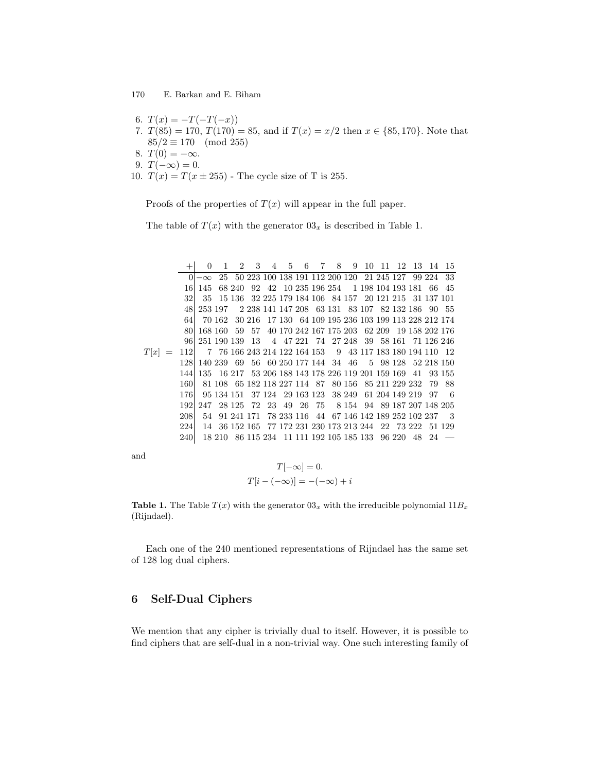- 170 E. Barkan and E. Biham
- 6.  $T(x) = -T(-T(-x))$ 7.  $T(85) = 170, T(170) = 85$ , and if  $T(x) = x/2$  then  $x \in \{85, 170\}$ . Note that  $85/2 \equiv 170 \pmod{255}$
- 8.  $T(0) = -\infty$ .
- 9.  $T(-\infty) = 0$ .
- 10.  $T(x) = T(x \pm 255)$  The cycle size of T is 255.

Proofs of the properties of  $T(x)$  will appear in the full paper.

The table of  $T(x)$  with the generator  $03_x$  is described in Table 1.

|              |      |                                                               |            |        | 2 3 |                                                             |  | 4 5 6 7 8 |  | 9 10 11 12 13 14 15 |    |     |  |
|--------------|------|---------------------------------------------------------------|------------|--------|-----|-------------------------------------------------------------|--|-----------|--|---------------------|----|-----|--|
|              |      | $-\infty$                                                     |            |        |     | 25 50 223 100 138 191 112 200 120 21 245 127 99 224 33      |  |           |  |                     |    |     |  |
|              | 161  | 145                                                           |            | 68 240 |     | 92 42 10 235 196 254 1 198 104 193 181 66 45                |  |           |  |                     |    |     |  |
|              | 321  |                                                               |            |        |     | 35 15 136 32 225 179 184 106 84 157 20 121 215 31 137 101   |  |           |  |                     |    |     |  |
|              |      | 48 253 197 2 238 141 147 208 63 131 83 107 82 132 186 90 55   |            |        |     |                                                             |  |           |  |                     |    |     |  |
|              | 64   |                                                               |            |        |     | 70 162 30 216 17 130 64 109 195 236 103 199 113 228 212 174 |  |           |  |                     |    |     |  |
|              |      | 80 168 160 59 57 40 170 242 167 175 203 62 209 19 158 202 176 |            |        |     |                                                             |  |           |  |                     |    |     |  |
|              |      | 96 251 190 139 13 4 47 221 74 27 248 39 58 161 71 126 246     |            |        |     |                                                             |  |           |  |                     |    |     |  |
| $T[x] = 112$ |      | 7 76 166 243 214 122 164 153 9 43 117 183 180 194 110 12      |            |        |     |                                                             |  |           |  |                     |    |     |  |
|              |      | 128 140 239 69 56 60 250 177 144 34 46 5 98 128 52 218 150    |            |        |     |                                                             |  |           |  |                     |    |     |  |
|              | 1441 | 135 16 217 53 206 188 143 178 226 119 201 159 169 41 93 155   |            |        |     |                                                             |  |           |  |                     |    |     |  |
|              | 160. |                                                               |            |        |     | 81 108 65 182 118 227 114 87 80 156 85 211 229 232 79 88    |  |           |  |                     |    |     |  |
|              | 176  |                                                               | 95 134 151 |        |     | 37 124 29 163 123 38 249 61 204 149 219 97 6                |  |           |  |                     |    |     |  |
|              | 192  | 247                                                           |            |        |     | 28 125 72 23 49 26 75 8 154 94 89 187 207 148 205           |  |           |  |                     |    |     |  |
|              | 208  | 54                                                            |            |        |     | 91 241 171 78 233 116 44 67 146 142 189 252 102 237 3       |  |           |  |                     |    |     |  |
|              | 224  |                                                               |            |        |     | 14 36 152 165 77 172 231 230 173 213 244 22 73 222 51 129   |  |           |  |                     |    |     |  |
|              | 240  |                                                               |            |        |     | 18 210 86 115 234 11 111 192 105 185 133 96 220             |  |           |  |                     | 48 | -24 |  |

and

$$
T[-\infty] = 0.
$$
  

$$
T[i - (-\infty)] = -(-\infty) + i
$$

Table 1. The Table  $T(x)$  with the generator  $03_x$  with the irreducible polynomial  $11B_x$ (Rijndael).

Each one of the 240 mentioned representations of Rijndael has the same set of 128 log dual ciphers.

### 6 Self-Dual Ciphers

We mention that any cipher is trivially dual to itself. However, it is possible to find ciphers that are self-dual in a non-trivial way. One such interesting family of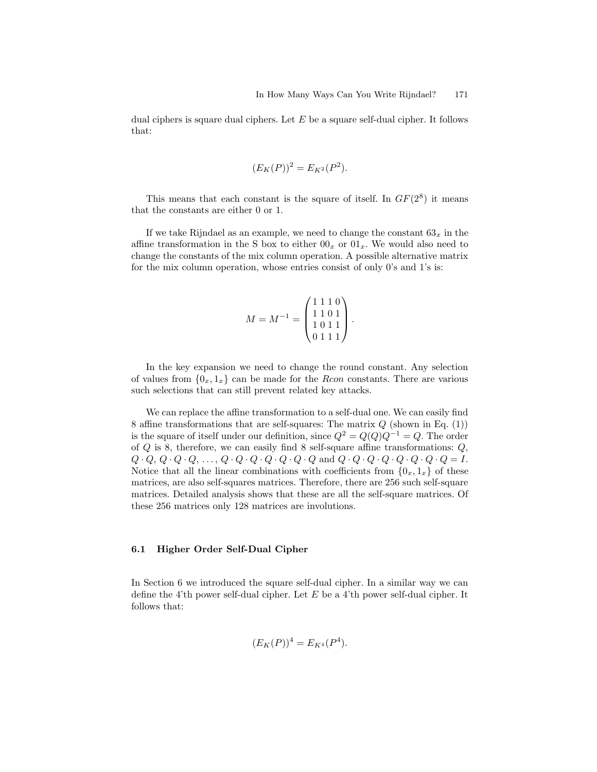dual ciphers is square dual ciphers. Let  $E$  be a square self-dual cipher. It follows that:

$$
(E_K(P))^2 = E_{K^2}(P^2).
$$

This means that each constant is the square of itself. In  $GF(2^8)$  it means that the constants are either 0 or 1.

If we take Rijndael as an example, we need to change the constant  $63<sub>x</sub>$  in the affine transformation in the S box to either  $00<sub>x</sub>$  or  $01<sub>x</sub>$ . We would also need to change the constants of the mix column operation. A possible alternative matrix for the mix column operation, whose entries consist of only 0's and 1's is:

$$
M = M^{-1} = \begin{pmatrix} 1 & 1 & 1 & 0 \\ 1 & 1 & 0 & 1 \\ 1 & 0 & 1 & 1 \\ 0 & 1 & 1 & 1 \end{pmatrix}.
$$

In the key expansion we need to change the round constant. Any selection of values from  $\{0_x, 1_x\}$  can be made for the *Rcon* constants. There are various such selections that can still prevent related key attacks.

We can replace the affine transformation to a self-dual one. We can easily find 8 affine transformations that are self-squares: The matrix Q (shown in Eq. (1)) is the square of itself under our definition, since  $Q^2 = Q(Q)Q^{-1} = Q$ . The order of  $Q$  is 8, therefore, we can easily find 8 self-square affine transformations:  $Q$ ,  $Q \cdot Q$ ,  $Q \cdot Q \cdot Q$ , ...,  $Q \cdot Q \cdot Q \cdot Q \cdot Q \cdot Q \cdot Q$  and  $Q \cdot Q \cdot Q \cdot Q \cdot Q \cdot Q \cdot Q \cdot Q = I$ . Notice that all the linear combinations with coefficients from  ${0_x, 1_x}$  of these matrices, are also self-squares matrices. Therefore, there are 256 such self-square matrices. Detailed analysis shows that these are all the self-square matrices. Of these 256 matrices only 128 matrices are involutions.

#### 6.1 Higher Order Self-Dual Cipher

In Section 6 we introduced the square self-dual cipher. In a similar way we can define the 4'th power self-dual cipher. Let E be a 4'th power self-dual cipher. It follows that:

$$
(E_K(P))^4 = E_{K^4}(P^4).
$$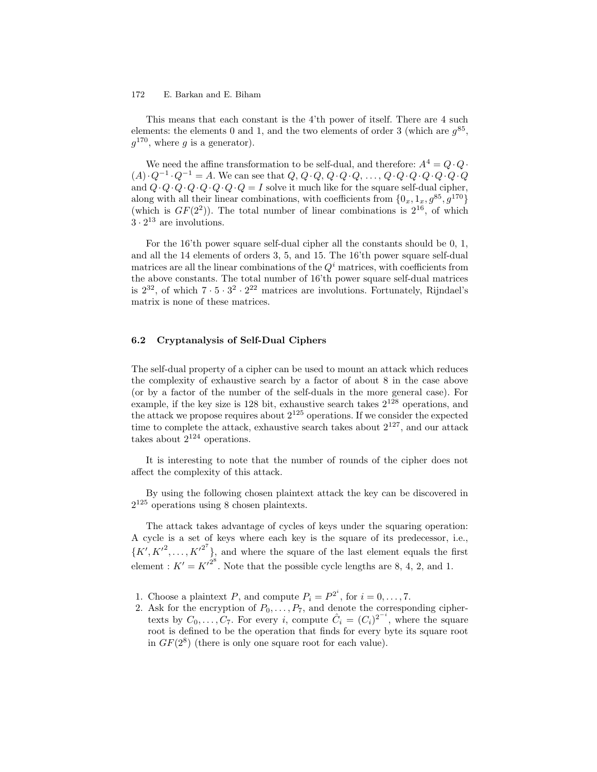This means that each constant is the 4'th power of itself. There are 4 such elements: the elements 0 and 1, and the two elements of order 3 (which are  $g^{85}$ ,  $g^{170}$ , where g is a generator).

We need the affine transformation to be self-dual, and therefore:  $A^4 = Q \cdot Q \cdot$  $(A) \cdot Q^{-1} \cdot Q^{-1} = A$ . We can see that  $Q, Q \cdot Q, Q \cdot Q \cdot Q, \ldots, Q \cdot Q \cdot Q \cdot Q \cdot Q \cdot Q \cdot Q$ and  $Q \cdot Q \cdot Q \cdot Q \cdot Q \cdot Q \cdot Q = I$  solve it much like for the square self-dual cipher, along with all their linear combinations, with coefficients from  $\{0_x, 1_x, g^{85}, g^{170}\}\$ (which is  $GF(2^2)$ ). The total number of linear combinations is  $2^{16}$ , of which  $3 \cdot 2^{13}$  are involutions.

For the 16'th power square self-dual cipher all the constants should be 0, 1, and all the 14 elements of orders 3, 5, and 15. The 16'th power square self-dual matrices are all the linear combinations of the  $Q<sup>i</sup>$  matrices, with coefficients from the above constants. The total number of 16'th power square self-dual matrices is  $2^{32}$ , of which  $7 \cdot 5 \cdot 3^2 \cdot 2^{22}$  matrices are involutions. Fortunately, Rijndael's matrix is none of these matrices.

### 6.2 Cryptanalysis of Self-Dual Ciphers

The self-dual property of a cipher can be used to mount an attack which reduces the complexity of exhaustive search by a factor of about 8 in the case above (or by a factor of the number of the self-duals in the more general case). For example, if the key size is 128 bit, exhaustive search takes 2 <sup>128</sup> operations, and the attack we propose requires about  $2^{125}$  operations. If we consider the expected time to complete the attack, exhaustive search takes about  $2^{127}$ , and our attack takes about  $2^{124}$  operations.

It is interesting to note that the number of rounds of the cipher does not affect the complexity of this attack.

By using the following chosen plaintext attack the key can be discovered in 2 <sup>125</sup> operations using 8 chosen plaintexts.

The attack takes advantage of cycles of keys under the squaring operation: A cycle is a set of keys where each key is the square of its predecessor, i.e.,  $\{K', K'^2, \ldots, K'^{2^7}\}\$ , and where the square of the last element equals the first element :  $K' = K'^{2^8}$ . Note that the possible cycle lengths are 8, 4, 2, and 1.

- 1. Choose a plaintext P, and compute  $P_i = P^{2^i}$ , for  $i = 0, \ldots, 7$ .
- 2. Ask for the encryption of  $P_0, \ldots, P_7$ , and denote the corresponding ciphertexts by  $C_0, \ldots, C_7$ . For every i, compute  $\hat{C}_i = (C_i)^{2^{-i}}$ , where the square root is defined to be the operation that finds for every byte its square root in  $GF(2^8)$  (there is only one square root for each value).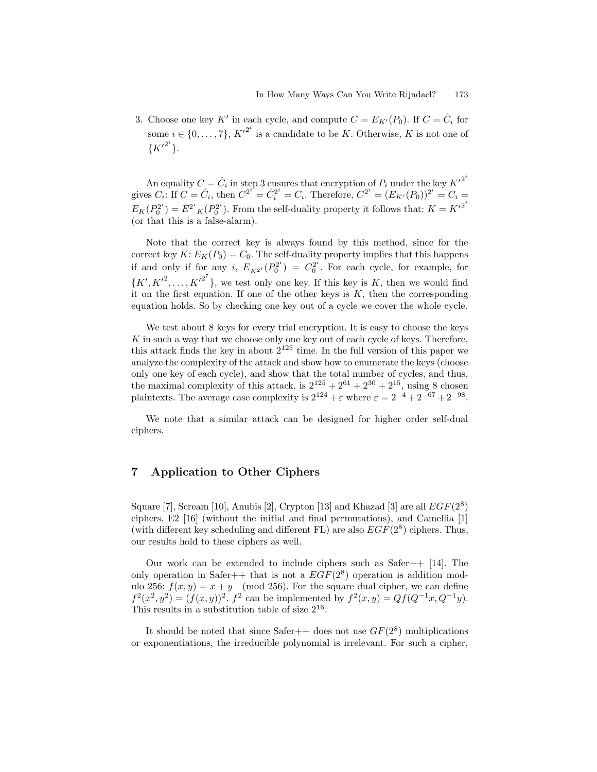3. Choose one key K' in each cycle, and compute  $C = E_{K'}(P_0)$ . If  $C = \hat{C}_i$  for some  $i \in \{0, \ldots, 7\}, K'^{2^i}$  is a candidate to be K. Otherwise, K is not one of  $\{K'^{2^i}\}.$ 

An equality  $C = \hat{C}_i$  in step 3 ensures that encryption of  $P_i$  under the key  ${K'}^{2^i}$ gives  $C_i$ : If  $C = \hat{C}_i$ , then  $C^{2^{i^*}} = \hat{C}_i^{2^i} = C_i$ . Therefore,  $C^{2^i} = (E_{K'}(P_0))^{2^i} = C_i$  $E_K(P_0^{2^i}) = E^{2^i}{}_K(P_0^{2^i})$ . From the self-duality property it follows that:  $K = K'^{2^i}$ (or that this is a false-alarm).

Note that the correct key is always found by this method, since for the correct key  $K: E_K(P_0) = C_0$ . The self-duality property implies that this happens if and only if for any i,  $E_{K^{2i}}(P_0^{2^i}) = C_0^{2^i}$ . For each cycle, for example, for  $\{K', {K'}^2, \ldots, {K'}^{2^7}\}\$ , we test only one key. If this key is K, then we would find it on the first equation. If one of the other keys is  $K$ , then the corresponding equation holds. So by checking one key out of a cycle we cover the whole cycle.

We test about 8 keys for every trial encryption. It is easy to choose the keys K in such a way that we choose only one key out of each cycle of keys. Therefore, this attack finds the key in about  $2^{125}$  time. In the full version of this paper we analyze the complexity of the attack and show how to enumerate the keys (choose only one key of each cycle), and show that the total number of cycles, and thus, the maximal complexity of this attack, is  $2^{125} + 2^{61} + 2^{30} + 2^{15}$ , using 8 chosen plaintexts. The average case complexity is  $2^{124} + \varepsilon$  where  $\varepsilon = 2^{-4} + 2^{-67} + 2^{-98}$ .

We note that a similar attack can be designed for higher order self-dual ciphers.

## 7 Application to Other Ciphers

Square  $[7]$ , Scream  $[10]$ , Anubis  $[2]$ , Crypton  $[13]$  and Khazad  $[3]$  are all  $EGF(2<sup>8</sup>)$ ciphers. E2 [16] (without the initial and final permutations), and Camellia [1] (with different key scheduling and different FL) are also  $EGF(2^8)$  ciphers. Thus, our results hold to these ciphers as well.

Our work can be extended to include ciphers such as Safer++ [14]. The only operation in Safer++ that is not a  $EGF(2^8)$  operation is addition modulo 256:  $f(x, y) = x + y \pmod{256}$ . For the square dual cipher, we can define  $f^{2}(x^{2}, y^{2}) = (f(x, y))^{2}$ .  $f^{2}$  can be implemented by  $f^{2}(x, y) = Qf(Q^{-1}x, Q^{-1}y)$ . This results in a substitution table of size  $2^{16}$ .

It should be noted that since Safer + does not use  $GF(2^8)$  multiplications or exponentiations, the irreducible polynomial is irrelevant. For such a cipher,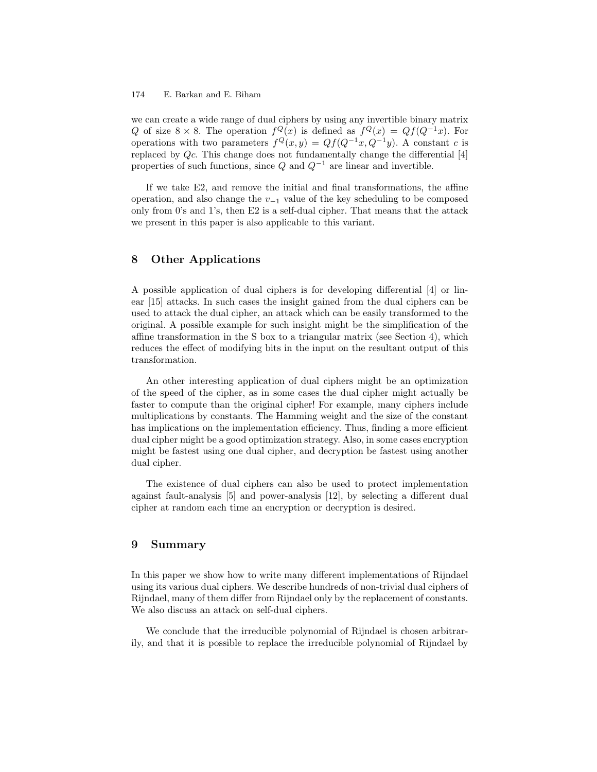we can create a wide range of dual ciphers by using any invertible binary matrix Q of size 8 × 8. The operation  $f^{Q}(x)$  is defined as  $f^{Q}(x) = Qf(Q^{-1}x)$ . For operations with two parameters  $f^{Q}(x,y) = Qf(Q^{-1}x,Q^{-1}y)$ . A constant c is replaced by  $Qc$ . This change does not fundamentally change the differential  $[4]$ properties of such functions, since  $Q$  and  $Q^{-1}$  are linear and invertible.

If we take E2, and remove the initial and final transformations, the affine operation, and also change the  $v_{-1}$  value of the key scheduling to be composed only from 0's and 1's, then E2 is a self-dual cipher. That means that the attack we present in this paper is also applicable to this variant.

### 8 Other Applications

A possible application of dual ciphers is for developing differential [4] or linear [15] attacks. In such cases the insight gained from the dual ciphers can be used to attack the dual cipher, an attack which can be easily transformed to the original. A possible example for such insight might be the simplification of the affine transformation in the S box to a triangular matrix (see Section 4), which reduces the effect of modifying bits in the input on the resultant output of this transformation.

An other interesting application of dual ciphers might be an optimization of the speed of the cipher, as in some cases the dual cipher might actually be faster to compute than the original cipher! For example, many ciphers include multiplications by constants. The Hamming weight and the size of the constant has implications on the implementation efficiency. Thus, finding a more efficient dual cipher might be a good optimization strategy. Also, in some cases encryption might be fastest using one dual cipher, and decryption be fastest using another dual cipher.

The existence of dual ciphers can also be used to protect implementation against fault-analysis [5] and power-analysis [12], by selecting a different dual cipher at random each time an encryption or decryption is desired.

### 9 Summary

In this paper we show how to write many different implementations of Rijndael using its various dual ciphers. We describe hundreds of non-trivial dual ciphers of Rijndael, many of them differ from Rijndael only by the replacement of constants. We also discuss an attack on self-dual ciphers.

We conclude that the irreducible polynomial of Rijndael is chosen arbitrarily, and that it is possible to replace the irreducible polynomial of Rijndael by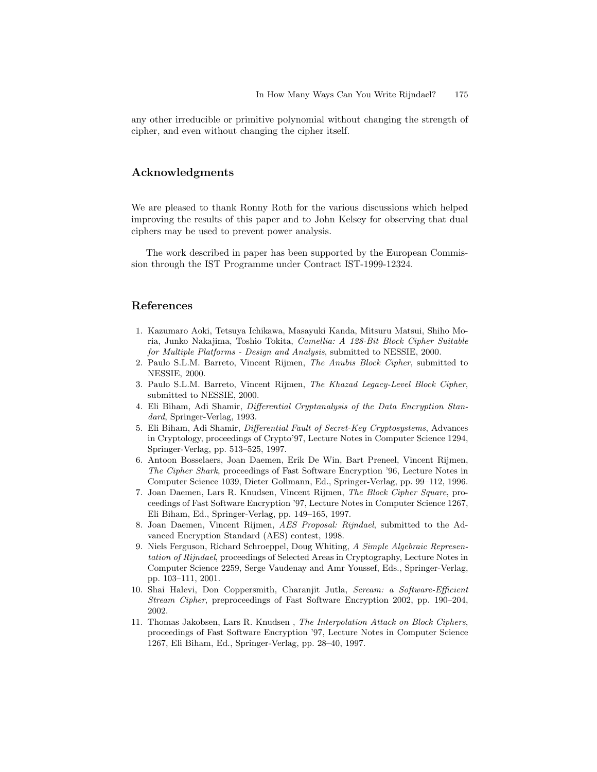any other irreducible or primitive polynomial without changing the strength of cipher, and even without changing the cipher itself.

### Acknowledgments

We are pleased to thank Ronny Roth for the various discussions which helped improving the results of this paper and to John Kelsey for observing that dual ciphers may be used to prevent power analysis.

The work described in paper has been supported by the European Commission through the IST Programme under Contract IST-1999-12324.

### References

- 1. Kazumaro Aoki, Tetsuya Ichikawa, Masayuki Kanda, Mitsuru Matsui, Shiho Moria, Junko Nakajima, Toshio Tokita, Camellia: A 128-Bit Block Cipher Suitable for Multiple Platforms - Design and Analysis, submitted to NESSIE, 2000.
- 2. Paulo S.L.M. Barreto, Vincent Rijmen, The Anubis Block Cipher, submitted to NESSIE, 2000.
- 3. Paulo S.L.M. Barreto, Vincent Rijmen, The Khazad Legacy-Level Block Cipher, submitted to NESSIE, 2000.
- 4. Eli Biham, Adi Shamir, Differential Cryptanalysis of the Data Encryption Standard, Springer-Verlag, 1993.
- 5. Eli Biham, Adi Shamir, Differential Fault of Secret-Key Cryptosystems, Advances in Cryptology, proceedings of Crypto'97, Lecture Notes in Computer Science 1294, Springer-Verlag, pp. 513–525, 1997.
- 6. Antoon Bosselaers, Joan Daemen, Erik De Win, Bart Preneel, Vincent Rijmen, The Cipher Shark, proceedings of Fast Software Encryption '96, Lecture Notes in Computer Science 1039, Dieter Gollmann, Ed., Springer-Verlag, pp. 99–112, 1996.
- 7. Joan Daemen, Lars R. Knudsen, Vincent Rijmen, The Block Cipher Square, proceedings of Fast Software Encryption '97, Lecture Notes in Computer Science 1267, Eli Biham, Ed., Springer-Verlag, pp. 149–165, 1997.
- 8. Joan Daemen, Vincent Rijmen, AES Proposal: Rijndael, submitted to the Advanced Encryption Standard (AES) contest, 1998.
- 9. Niels Ferguson, Richard Schroeppel, Doug Whiting, A Simple Algebraic Representation of Rijndael, proceedings of Selected Areas in Cryptography, Lecture Notes in Computer Science 2259, Serge Vaudenay and Amr Youssef, Eds., Springer-Verlag, pp. 103–111, 2001.
- 10. Shai Halevi, Don Coppersmith, Charanjit Jutla, Scream: a Software-Efficient Stream Cipher, preproceedings of Fast Software Encryption 2002, pp. 190–204, 2002.
- 11. Thomas Jakobsen, Lars R. Knudsen , The Interpolation Attack on Block Ciphers, proceedings of Fast Software Encryption '97, Lecture Notes in Computer Science 1267, Eli Biham, Ed., Springer-Verlag, pp. 28–40, 1997.